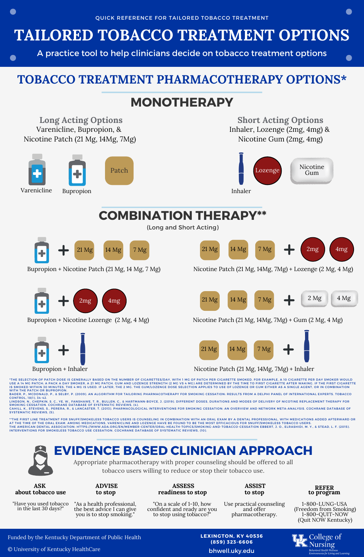## **TAILORED TOBACCO TREATMENT OPTIONS**

A practice tool to help clinicians decide on tobacco treatment options

### **TOBACCO TREATMENT PHARMACOTHERAPY OPTIONS\***





**EVIDENCE BASED CLINICIAN APPROACH**

Appropriate pharmacotherapy with proper counseling should be offered to all

tobacco users willing to reduce or stop their tobacco use.

**ASK about tobacco use**

"Have you used tobacco in the last 30 days?

**ADVISE to stop**

#### **ASSESS readiness to stop**

**ASSIST to stop**

**REFER**

"As a health professional, the best advice I can give you is to stop smoking."

"On a scale of 1-10, how confident and ready are you to stop using tobacco?"

Use practical counseling and offer pharmacotherapy.

**to program** 1-800-LUNG-USA

(Freedom from Smoking) 1-800-QUIT-NOW (Quit NOW Kentucky)



© University of Kentucky HealthCare

**LEXINGTON, KY 40536 (859) 323-6606**

bhwell.uky.edu



 $\mathsf{\leq}$ . Nursing